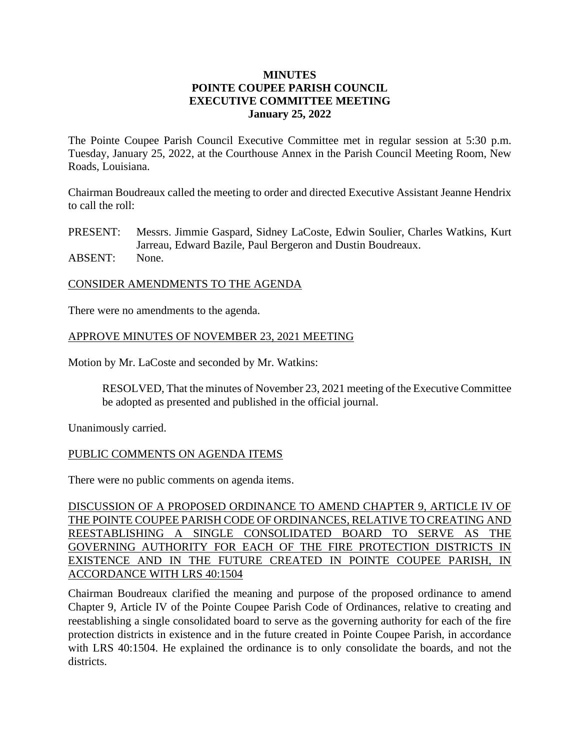### **MINUTES POINTE COUPEE PARISH COUNCIL EXECUTIVE COMMITTEE MEETING January 25, 2022**

The Pointe Coupee Parish Council Executive Committee met in regular session at 5:30 p.m. Tuesday, January 25, 2022, at the Courthouse Annex in the Parish Council Meeting Room, New Roads, Louisiana.

Chairman Boudreaux called the meeting to order and directed Executive Assistant Jeanne Hendrix to call the roll:

PRESENT: Messrs. Jimmie Gaspard, Sidney LaCoste, Edwin Soulier, Charles Watkins, Kurt Jarreau, Edward Bazile, Paul Bergeron and Dustin Boudreaux.

ABSENT: None.

### CONSIDER AMENDMENTS TO THE AGENDA

There were no amendments to the agenda.

### APPROVE MINUTES OF NOVEMBER 23, 2021 MEETING

Motion by Mr. LaCoste and seconded by Mr. Watkins:

RESOLVED, That the minutes of November 23, 2021 meeting of the Executive Committee be adopted as presented and published in the official journal.

Unanimously carried.

### PUBLIC COMMENTS ON AGENDA ITEMS

There were no public comments on agenda items.

DISCUSSION OF A PROPOSED ORDINANCE TO AMEND CHAPTER 9, ARTICLE IV OF THE POINTE COUPEE PARISH CODE OF ORDINANCES, RELATIVE TO CREATING AND REESTABLISHING A SINGLE CONSOLIDATED BOARD TO SERVE AS THE GOVERNING AUTHORITY FOR EACH OF THE FIRE PROTECTION DISTRICTS IN EXISTENCE AND IN THE FUTURE CREATED IN POINTE COUPEE PARISH, IN ACCORDANCE WITH LRS 40:1504

Chairman Boudreaux clarified the meaning and purpose of the proposed ordinance to amend Chapter 9, Article IV of the Pointe Coupee Parish Code of Ordinances, relative to creating and reestablishing a single consolidated board to serve as the governing authority for each of the fire protection districts in existence and in the future created in Pointe Coupee Parish, in accordance with LRS 40:1504. He explained the ordinance is to only consolidate the boards, and not the districts.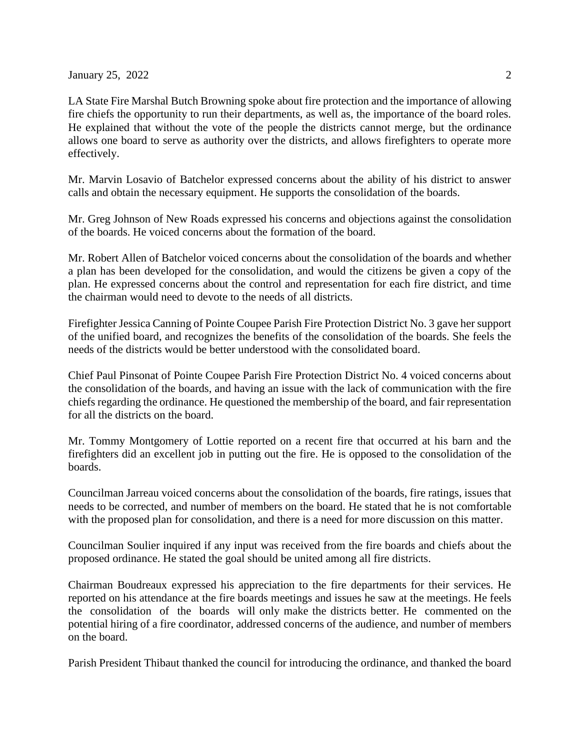**January 25, 2022** 2

LA State Fire Marshal Butch Browning spoke about fire protection and the importance of allowing fire chiefs the opportunity to run their departments, as well as, the importance of the board roles. He explained that without the vote of the people the districts cannot merge, but the ordinance allows one board to serve as authority over the districts, and allows firefighters to operate more effectively.

Mr. Marvin Losavio of Batchelor expressed concerns about the ability of his district to answer calls and obtain the necessary equipment. He supports the consolidation of the boards.

Mr. Greg Johnson of New Roads expressed his concerns and objections against the consolidation of the boards. He voiced concerns about the formation of the board.

Mr. Robert Allen of Batchelor voiced concerns about the consolidation of the boards and whether a plan has been developed for the consolidation, and would the citizens be given a copy of the plan. He expressed concerns about the control and representation for each fire district, and time the chairman would need to devote to the needs of all districts.

Firefighter Jessica Canning of Pointe Coupee Parish Fire Protection District No. 3 gave her support of the unified board, and recognizes the benefits of the consolidation of the boards. She feels the needs of the districts would be better understood with the consolidated board.

Chief Paul Pinsonat of Pointe Coupee Parish Fire Protection District No. 4 voiced concerns about the consolidation of the boards, and having an issue with the lack of communication with the fire chiefs regarding the ordinance. He questioned the membership of the board, and fair representation for all the districts on the board.

Mr. Tommy Montgomery of Lottie reported on a recent fire that occurred at his barn and the firefighters did an excellent job in putting out the fire. He is opposed to the consolidation of the boards.

Councilman Jarreau voiced concerns about the consolidation of the boards, fire ratings, issues that needs to be corrected, and number of members on the board. He stated that he is not comfortable with the proposed plan for consolidation, and there is a need for more discussion on this matter.

Councilman Soulier inquired if any input was received from the fire boards and chiefs about the proposed ordinance. He stated the goal should be united among all fire districts.

Chairman Boudreaux expressed his appreciation to the fire departments for their services. He reported on his attendance at the fire boards meetings and issues he saw at the meetings. He feels the consolidation of the boards will only make the districts better. He commented on the potential hiring of a fire coordinator, addressed concerns of the audience, and number of members on the board.

Parish President Thibaut thanked the council for introducing the ordinance, and thanked the board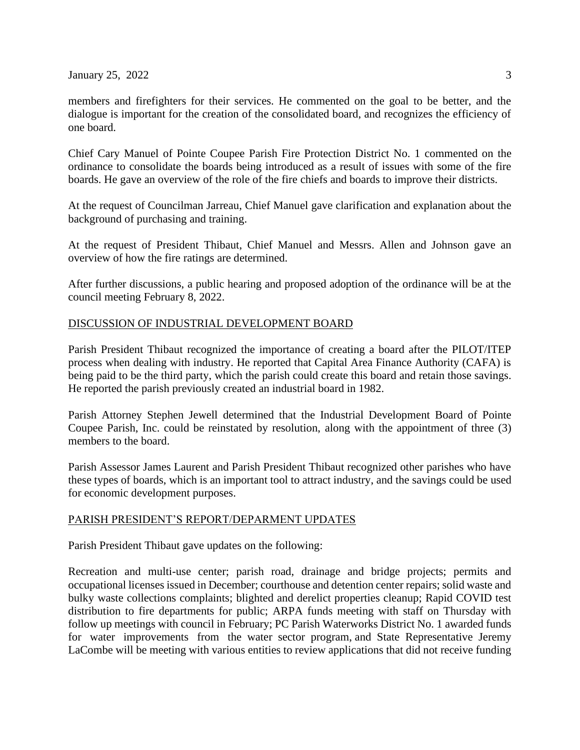$January 25, 2022$  3

members and firefighters for their services. He commented on the goal to be better, and the dialogue is important for the creation of the consolidated board, and recognizes the efficiency of one board.

Chief Cary Manuel of Pointe Coupee Parish Fire Protection District No. 1 commented on the ordinance to consolidate the boards being introduced as a result of issues with some of the fire boards. He gave an overview of the role of the fire chiefs and boards to improve their districts.

At the request of Councilman Jarreau, Chief Manuel gave clarification and explanation about the background of purchasing and training.

At the request of President Thibaut, Chief Manuel and Messrs. Allen and Johnson gave an overview of how the fire ratings are determined.

After further discussions, a public hearing and proposed adoption of the ordinance will be at the council meeting February 8, 2022.

### DISCUSSION OF INDUSTRIAL DEVELOPMENT BOARD

Parish President Thibaut recognized the importance of creating a board after the PILOT/ITEP process when dealing with industry. He reported that Capital Area Finance Authority (CAFA) is being paid to be the third party, which the parish could create this board and retain those savings. He reported the parish previously created an industrial board in 1982.

Parish Attorney Stephen Jewell determined that the Industrial Development Board of Pointe Coupee Parish, Inc. could be reinstated by resolution, along with the appointment of three (3) members to the board.

Parish Assessor James Laurent and Parish President Thibaut recognized other parishes who have these types of boards, which is an important tool to attract industry, and the savings could be used for economic development purposes.

#### PARISH PRESIDENT'S REPORT/DEPARMENT UPDATES

Parish President Thibaut gave updates on the following:

Recreation and multi-use center; parish road, drainage and bridge projects; permits and occupational licenses issued in December; courthouse and detention center repairs; solid waste and bulky waste collections complaints; blighted and derelict properties cleanup; Rapid COVID test distribution to fire departments for public; ARPA funds meeting with staff on Thursday with follow up meetings with council in February; PC Parish Waterworks District No. 1 awarded funds for water improvements from the water sector program, and State Representative Jeremy LaCombe will be meeting with various entities to review applications that did not receive funding